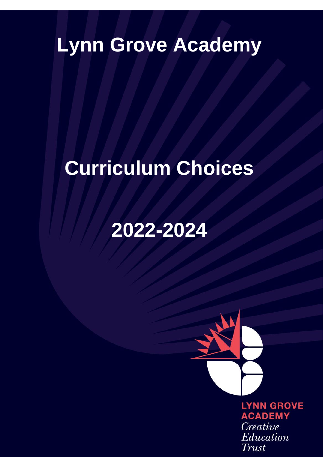# **Lynn Grove Academy**

# **Curriculum Choices**

# **2022-2024**

**LYNN GROVE ACADEMY** Creative Education Trust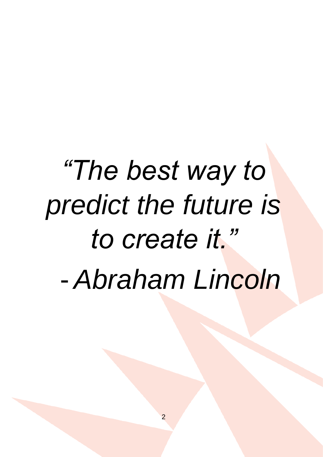# *"The best way to predict the future is to create it."* - *Abraham Lincoln*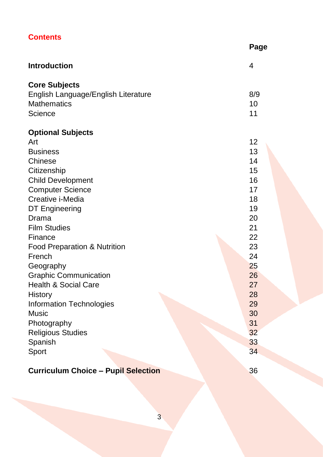| <b>Contents</b>                     |      |
|-------------------------------------|------|
|                                     | Page |
| <b>Introduction</b>                 | 4    |
| <b>Core Subjects</b>                |      |
| English Language/English Literature | 8/9  |
| <b>Mathematics</b>                  | 10   |
| Science                             | 11   |
| <b>Optional Subjects</b>            |      |
| Art                                 | 12   |
| <b>Business</b>                     | 13   |
| Chinese                             | 14   |
| Citizenship                         | 15   |
| <b>Child Development</b>            | 16   |
| <b>Computer Science</b>             | 17   |
| Creative i-Media                    | 18   |
| DT Engineering                      | 19   |
| Drama                               | 20   |
| <b>Film Studies</b>                 | 21   |
| Finance                             | 22   |
| Food Preparation & Nutrition        | 23   |
| French                              | 24   |
| Geography                           | 25   |
| <b>Graphic Communication</b>        | 26   |
| <b>Health &amp; Social Care</b>     | 27   |
| History                             | 28   |
| Information Technologies            | 29   |
| Music                               | 30   |
| Photography                         | 31   |
| <b>Religious Studies</b>            | 32   |
| Spanish                             | 33   |
| Sport                               | 34   |
|                                     |      |

# **Curriculum Choice – Pupil Selection** 36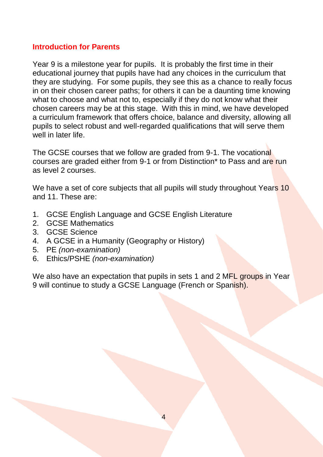#### **Introduction for Parents**

Year 9 is a milestone year for pupils. It is probably the first time in their educational journey that pupils have had any choices in the curriculum that they are studying. For some pupils, they see this as a chance to really focus in on their chosen career paths; for others it can be a daunting time knowing what to choose and what not to, especially if they do not know what their chosen careers may be at this stage. With this in mind, we have developed a curriculum framework that offers choice, balance and diversity, allowing all pupils to select robust and well-regarded qualifications that will serve them well in later life.

The GCSE courses that we follow are graded from 9-1. The vocational courses are graded either from 9-1 or from Distinction\* to Pass and are run as level 2 courses.

We have a set of core subjects that all pupils will study throughout Years 10 and 11. These are:

- 1. GCSE English Language and GCSE English Literature
- 2. GCSE Mathematics
- 3. GCSE Science
- 4. A GCSE in a Humanity (Geography or History)
- 5. PE *(non-examination)*
- 6. Ethics/PSHE *(non-examination)*

We also have an expectation that pupils in sets 1 and 2 MFL groups in Year 9 will continue to study a GCSE Language (French or Spanish).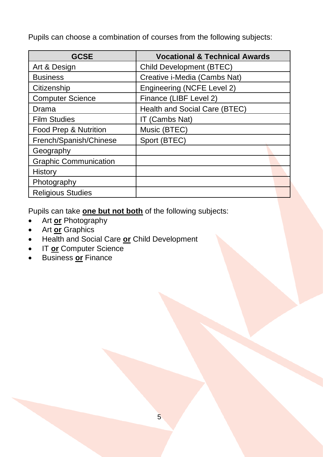Pupils can choose a combination of courses from the following subjects:

| <b>GCSE</b>                  | <b>Vocational &amp; Technical Awards</b> |  |  |
|------------------------------|------------------------------------------|--|--|
| Art & Design                 | Child Development (BTEC)                 |  |  |
| <b>Business</b>              | Creative i-Media (Cambs Nat)             |  |  |
| Citizenship                  | Engineering (NCFE Level 2)               |  |  |
| <b>Computer Science</b>      | Finance (LIBF Level 2)                   |  |  |
| Drama                        | Health and Social Care (BTEC)            |  |  |
| <b>Film Studies</b>          | IT (Cambs Nat)                           |  |  |
| Food Prep & Nutrition        | Music (BTEC)                             |  |  |
| French/Spanish/Chinese       | Sport (BTEC)                             |  |  |
| Geography                    |                                          |  |  |
| <b>Graphic Communication</b> |                                          |  |  |
| History                      |                                          |  |  |
| Photography                  |                                          |  |  |
| <b>Religious Studies</b>     |                                          |  |  |

Pupils can take **one but not both** of the following subjects:

- Art **or** Photography
- Art **or** Graphics
- Health and Social Care **or** Child Development
- **IT or Computer Science**
- Business **or** Finance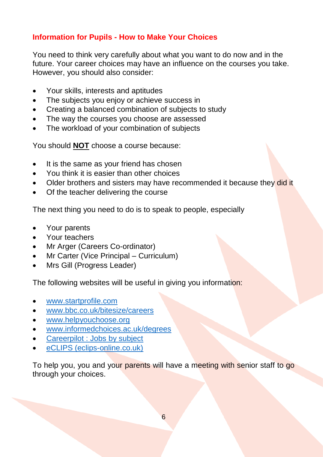# **Information for Pupils - How to Make Your Choices**

You need to think very carefully about what you want to do now and in the future. Your career choices may have an influence on the courses you take. However, you should also consider:

- Your skills, interests and aptitudes
- The subjects you enjoy or achieve success in
- Creating a balanced combination of subjects to study
- The way the courses you choose are assessed
- The workload of your combination of subjects

You should **NOT** choose a course because:

- It is the same as your friend has chosen
- You think it is easier than other choices
- Older brothers and sisters may have recommended it because they did it
- Of the teacher delivering the course

The next thing you need to do is to speak to people, especially

- Your parents
- Your teachers
- Mr Arger (Careers Co-ordinator)
- Mr Carter (Vice Principal Curriculum)
- Mrs Gill (Progress Leader)

The following websites will be useful in giving you information:

- [www.startprofile.com](http://www.startprofile.com/)
- [www.bbc.co.uk/bitesize/careers](http://www.bbc.co.uk/bitesize/careers)
- [www.helpyouchoose.org](http://www.helpyouchoose.org/)
- [www.informedchoices.ac.uk/degrees](http://www.informedchoices.ac.uk/degrees)
- [Careerpilot : Jobs by subject](https://www.careerpilot.org.uk/job-sectors/subjects)
- eCLIPS (eclips-online.co.uk)

To help you, you and your parents will have a meeting with senior staff to go through your choices.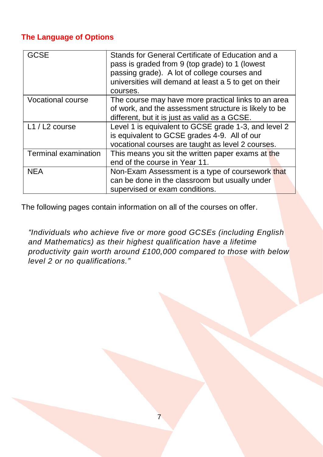# **The Language of Options**

| GCSE                 | Stands for General Certificate of Education and a<br>pass is graded from 9 (top grade) to 1 (lowest<br>passing grade). A lot of college courses and<br>universities will demand at least a 5 to get on their<br>courses. |
|----------------------|--------------------------------------------------------------------------------------------------------------------------------------------------------------------------------------------------------------------------|
| Vocational course    | The course may have more practical links to an area<br>of work, and the assessment structure is likely to be<br>different, but it is just as valid as a GCSE.                                                            |
| $L1 / L2$ course     | Level 1 is equivalent to GCSE grade 1-3, and level 2<br>is equivalent to GCSE grades 4-9. All of our<br>vocational courses are taught as level 2 courses.                                                                |
| Terminal examination | This means you sit the written paper exams at the<br>end of the course in Year 11.                                                                                                                                       |
| <b>NEA</b>           | Non-Exam Assessment is a type of coursework that<br>can be done in the classroom but usually under<br>supervised or exam conditions.                                                                                     |

The following pages contain information on all of the courses on offer.

*"Individuals who achieve five or more good GCSEs (including English and Mathematics) as their highest qualification have a lifetime productivity gain worth around £100,000 compared to those with below level 2 or no qualifications."*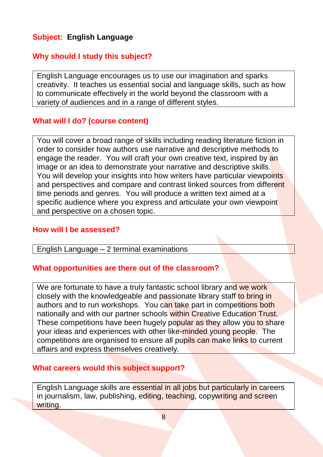# **Subject: English Language**

# **Why should I study this subject?**

English Language encourages us to use our imagination and sparks creativity. It teaches us essential social and language skills, such as how to communicate effectively in the world beyond the classroom with a variety of audiences and in a range of different styles.

#### **What will I do? (course content)**

You will cover a broad range of skills including reading literature fiction in order to consider how authors use narrative and descriptive methods to engage the reader. You will craft your own creative text, inspired by an image or an idea to demonstrate your narrative and descriptive skills. You will develop your insights into how writers have particular viewpoints and perspectives and compare and contrast linked sources from different time periods and genres. You will produce a written text aimed at a specific audience where you express and articulate your own viewpoint and perspective on a chosen topic.

#### **How will I be assessed?**

English Language – 2 terminal examinations

#### **What opportunities are there out of the classroom?**

We are fortunate to have a truly fantastic school library and we work closely with the knowledgeable and passionate library staff to bring in authors and to run workshops. You can take part in competitions both nationally and with our partner schools within Creative Education Trust. These competitions have been hugely popular as they allow you to share your ideas and experiences with other like-minded young people. The competitions are organised to ensure all pupils can make links to current affairs and express themselves creatively.

#### **What careers would this subject support?**

English Language skills are essential in all jobs but particularly in careers in journalism, law, publishing, editing, teaching, copywriting and screen writing.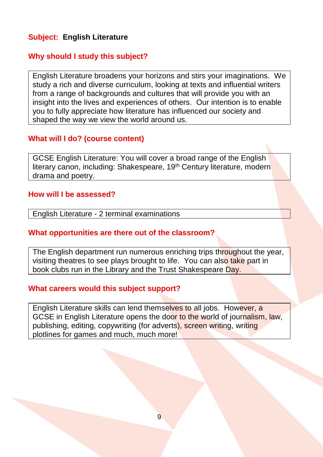# **Subject: English Literature**

#### **Why should I study this subject?**

English Literature broadens your horizons and stirs your imaginations. We study a rich and diverse curriculum, looking at texts and influential writers from a range of backgrounds and cultures that will provide you with an insight into the lives and experiences of others. Our intention is to enable you to fully appreciate how literature has influenced our society and shaped the way we view the world around us.

# **What will I do? (course content)**

GCSE English Literature: You will cover a broad range of the English literary canon, including: Shakespeare, 19<sup>th</sup> Century literature, modern drama and poetry.

#### **How will I be assessed?**

English Literature - 2 terminal examinations

#### **What opportunities are there out of the classroom?**

The English department run numerous enriching trips throughout the year, visiting theatres to see plays brought to life. You can also take part in book clubs run in the Library and the Trust Shakespeare Day.

#### **What careers would this subject support?**

English Literature skills can lend themselves to all jobs. However, a GCSE in English Literature opens the door to the world of journalism, law, publishing, editing, copywriting (for adverts), screen writing, writing plotlines for games and much, much more!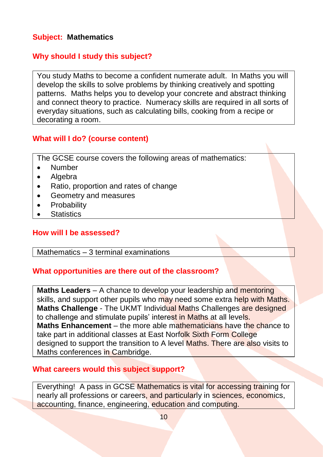# **Subject: Mathematics**

# **Why should I study this subject?**

You study Maths to become a confident numerate adult. In Maths you will develop the skills to solve problems by thinking creatively and spotting patterns. Maths helps you to develop your concrete and abstract thinking and connect theory to practice. Numeracy skills are required in all sorts of everyday situations, such as calculating bills, cooking from a recipe or decorating a room.

#### **What will I do? (course content)**

The GCSE course covers the following areas of mathematics:

- Number
- **Algebra**
- Ratio, proportion and rates of change
- Geometry and measures
- **Probability**
- **Statistics**

#### **How will I be assessed?**

#### Mathematics – 3 terminal examinations

#### **What opportunities are there out of the classroom?**

**Maths Leaders** – A chance to develop your leadership and mentoring skills, and support other pupils who may need some extra help with Maths. **Maths Challenge** - The UKMT Individual Maths Challenges are designed to challenge and stimulate pupils' interest in Maths at all levels. **Maths Enhancement** – the more able mathematicians have the chance to take part in additional classes at East Norfolk Sixth Form College designed to support the transition to A level Maths. There are also visits to Maths conferences in Cambridge.

#### **What careers would this subject support?**

Everything! A pass in GCSE Mathematics is vital for accessing training for nearly all professions or careers, and particularly in sciences, economics, accounting, finance, engineering, education and computing.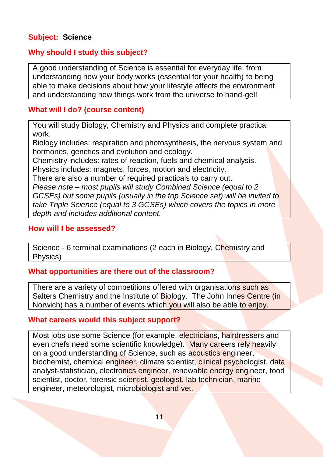# **Subject: Science**

# **Why should I study this subject?**

A good understanding of Science is essential for everyday life, from understanding how your body works (essential for your health) to being able to make decisions about how your lifestyle affects the environment and understanding how things work from the universe to hand-gel!

# **What will I do? (course content)**

You will study Biology, Chemistry and Physics and complete practical work.

Biology includes: respiration and photosynthesis, the nervous system and hormones, genetics and evolution and ecology.

Chemistry includes: rates of reaction, fuels and chemical analysis. Physics includes: magnets, forces, motion and electricity.

There are also a number of required practicals to carry out.

*Please note – most pupils will study Combined Science (equal to 2 GCSEs) but some pupils (usually in the top Science set) will be invited to take Triple Science (equal to 3 GCSEs) which covers the topics in more depth and includes additional content.* 

#### **How will I be assessed?**

Science - 6 terminal examinations (2 each in Biology, Chemistry and Physics)

# **What opportunities are there out of the classroom?**

There are a variety of competitions offered with organisations such as Salters Chemistry and the Institute of Biology. The John Innes Centre (in Norwich) has a number of events which you will also be able to enjoy.

#### **What careers would this subject support?**

Most jobs use some Science (for example, electricians, hairdressers and even chefs need some scientific knowledge). Many careers rely heavily on a good understanding of Science, such as acoustics engineer, biochemist, chemical engineer, climate scientist, clinical psychologist, data analyst-statistician, electronics engineer, renewable energy engineer, food scientist, doctor, forensic scientist, geologist, lab technician, marine engineer, meteorologist, microbiologist and vet.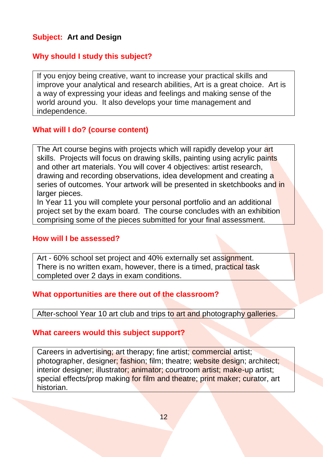# **Subject: Art and Design**

# **Why should I study this subject?**

If you enjoy being creative, want to increase your practical skills and improve your analytical and research abilities, Art is a great choice. Art is a way of expressing your ideas and feelings and making sense of the world around you. It also develops your time management and independence.

#### **What will I do? (course content)**

The Art course begins with projects which will rapidly develop your art skills. Projects will focus on drawing skills, painting using acrylic paints and other art materials. You will cover 4 objectives: artist research, drawing and recording observations, idea development and creating a series of outcomes. Your artwork will be presented in sketchbooks and in larger pieces.

In Year 11 you will complete your personal portfolio and an additional project set by the exam board. The course concludes with an exhibition comprising some of the pieces submitted for your final assessment.

#### **How will I be assessed?**

Art - 60% school set project and 40% externally set assignment. There is no written exam, however, there is a timed, practical task completed over 2 days in exam conditions.

#### **What opportunities are there out of the classroom?**

After-school Year 10 art club and trips to art and photography galleries.

#### **What careers would this subject support?**

Careers in advertising; art therapy; fine artist; commercial artist; photographer, designer; fashion; film; theatre; website design; architect; interior designer; illustrator; animator; courtroom artist; make-up artist; special effects/prop making for film and theatre; print maker; curator, art historian.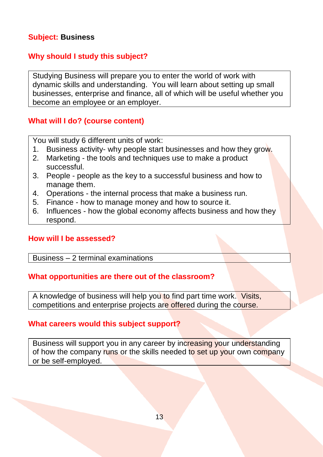# **Subject: Business**

# **Why should I study this subject?**

Studying Business will prepare you to enter the world of work with dynamic skills and understanding. You will learn about setting up small businesses, enterprise and finance, all of which will be useful whether you become an employee or an employer.

# **What will I do? (course content)**

You will study 6 different units of work:

- 1. Business activity- why people start businesses and how they grow.
- 2. Marketing the tools and techniques use to make a product successful.
- 3. People people as the key to a successful business and how to manage them.
- 4. Operations the internal process that make a business run.
- 5. Finance how to manage money and how to source it.
- 6. Influences how the global economy affects business and how they respond.

#### **How will I be assessed?**

#### Business – 2 terminal examinations

#### **What opportunities are there out of the classroom?**

A knowledge of business will help you to find part time work. Visits, competitions and enterprise projects are offered during the course.

# **What careers would this subject support?**

Business will support you in any career by increasing your understanding of how the company runs or the skills needed to set up your own company or be self-employed.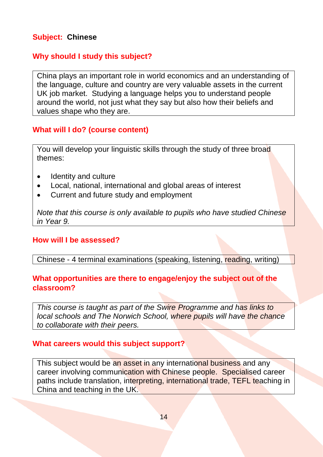# **Subject: Chinese**

# **Why should I study this subject?**

China plays an important role in world economics and an understanding of the language, culture and country are very valuable assets in the current UK job market. Studying a language helps you to understand people around the world, not just what they say but also how their beliefs and values shape who they are.

#### **What will I do? (course content)**

You will develop your linguistic skills through the study of three broad themes:

- Identity and culture
- Local, national, international and global areas of interest
- Current and future study and employment

*Note that this course is only available to pupils who have studied Chinese in Year 9.*

#### **How will I be assessed?**

#### Chinese - 4 terminal examinations (speaking, listening, reading, writing)

#### **What opportunities are there to engage/enjoy the subject out of the classroom?**

*This course is taught as part of the Swire Programme and has links to local schools and The Norwich School, where pupils will have the chance to collaborate with their peers.*

#### **What careers would this subject support?**

This subject would be an asset in any international business and any career involving communication with Chinese people. Specialised career paths include translation, interpreting, international trade, TEFL teaching in China and teaching in the UK.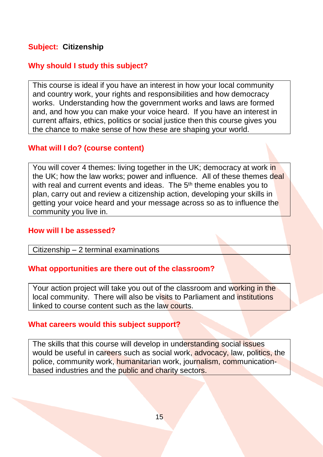# **Subject: Citizenship**

## **Why should I study this subject?**

This course is ideal if you have an interest in how your local community and country work, your rights and responsibilities and how democracy works. Understanding how the government works and laws are formed and, and how you can make your voice heard. If you have an interest in current affairs, ethics, politics or social justice then this course gives you the chance to make sense of how these are shaping your world.

#### **What will I do? (course content)**

You will cover 4 themes: living together in the UK; democracy at work in the UK; how the law works; power and influence. All of these themes deal with real and current events and ideas. The 5<sup>th</sup> theme enables you to plan, carry out and review a citizenship action, developing your skills in getting your voice heard and your message across so as to influence the community you live in.

#### **How will I be assessed?**

Citizenship – 2 terminal examinations

#### **What opportunities are there out of the classroom?**

Your action project will take you out of the classroom and working in the local community. There will also be visits to Parliament and institutions linked to course content such as the law courts.

#### **What careers would this subject support?**

The skills that this course will develop in understanding social issues would be useful in careers such as social work, advocacy, law, politics, the police, community work, humanitarian work, journalism, communicationbased industries and the public and charity sectors.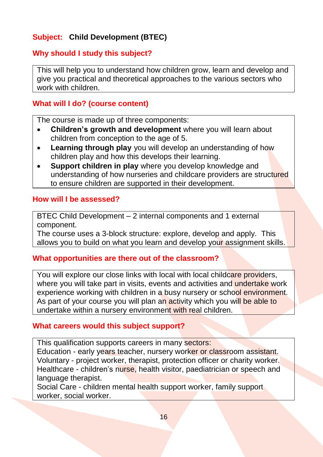# **Subject: Child Development (BTEC)**

# **Why should I study this subject?**

This will help you to understand how children grow, learn and develop and give you practical and theoretical approaches to the various sectors who work with children.

#### **What will I do? (course content)**

The course is made up of three components:

- **Children's growth and development** where you will learn about children from conception to the age of 5.
- **Learning through play** you will develop an understanding of how children play and how this develops their learning.
- **Support children in play** where you develop knowledge and understanding of how nurseries and childcare providers are structured to ensure children are supported in their development.

#### **How will I be assessed?**

BTEC Child Development – 2 internal components and 1 external component.

The course uses a 3-block structure: explore, develop and apply. This allows you to build on what you learn and develop your assignment skills.

#### **What opportunities are there out of the classroom?**

You will explore our close links with local with local childcare providers, where you will take part in visits, events and activities and undertake work experience working with children in a busy nursery or school environment. As part of your course you will plan an activity which you will be able to undertake within a nursery environment with real children.

#### **What careers would this subject support?**

This qualification supports careers in many sectors:

Education - early years teacher, nursery worker or classroom assistant. Voluntary - project worker, therapist, protection officer or charity worker. Healthcare - children's nurse, health visitor, paediatrician or speech and language therapist.

Social Care - children mental health support worker, family support worker, social worker.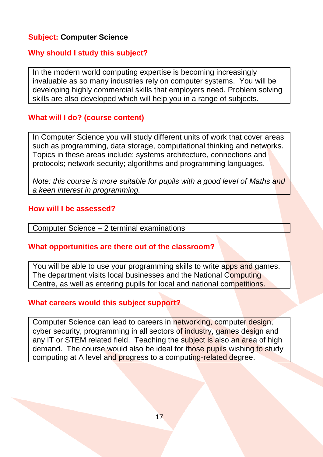# **Subject: Computer Science**

# **Why should I study this subject?**

In the modern world computing expertise is becoming increasingly invaluable as so many industries rely on computer systems. You will be developing highly commercial skills that employers need. Problem solving skills are also developed which will help you in a range of subjects.

#### **What will I do? (course content)**

In Computer Science you will study different units of work that cover areas such as programming, data storage, computational thinking and networks. Topics in these areas include: systems architecture, connections and protocols; network security; algorithms and programming languages.

*Note: this course is more suitable for pupils with a good level of Maths and a keen interest in programming.*

#### **How will I be assessed?**

Computer Science – 2 terminal examinations

#### **What opportunities are there out of the classroom?**

You will be able to use your programming skills to write apps and games. The department visits local businesses and the National Computing Centre, as well as entering pupils for local and national competitions.

#### **What careers would this subject support?**

Computer Science can lead to careers in networking, computer design, cyber security, programming in all sectors of industry, games design and any IT or STEM related field. Teaching the subject is also an area of high demand. The course would also be ideal for those pupils wishing to study computing at A level and progress to a computing-related degree.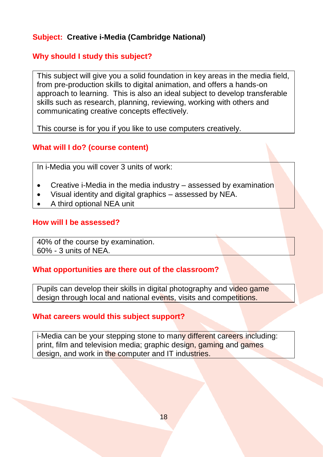# **Subject: Creative i-Media (Cambridge National)**

# **Why should I study this subject?**

This subject will give you a solid foundation in key areas in the media field, from pre-production skills to digital animation, and offers a hands-on approach to learning. This is also an ideal subject to develop transferable skills such as research, planning, reviewing, working with others and communicating creative concepts effectively.

This course is for you if you like to use computers creatively.

# **What will I do? (course content)**

In i-Media you will cover 3 units of work:

- Creative i-Media in the media industry assessed by examination
- Visual identity and digital graphics assessed by NEA.
- A third optional NEA unit

#### **How will I be assessed?**

40% of the course by examination. 60% - 3 units of NEA.

# **What opportunities are there out of the classroom?**

Pupils can develop their skills in digital photography and video game design through local and national events, visits and competitions.

# **What careers would this subject support?**

i-Media can be your stepping stone to many different careers including: print, film and television media; graphic design, gaming and games design, and work in the computer and IT industries.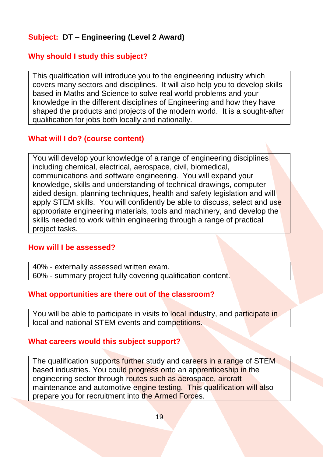# **Subject: DT – Engineering (Level 2 Award)**

# **Why should I study this subject?**

This qualification will introduce you to the engineering industry which covers many sectors and disciplines. It will also help you to develop skills based in Maths and Science to solve real world problems and your knowledge in the different disciplines of Engineering and how they have shaped the products and projects of the modern world. It is a sought-after qualification for jobs both locally and nationally.

#### **What will I do? (course content)**

You will develop your knowledge of a range of engineering disciplines including chemical, electrical, aerospace, civil, biomedical, communications and software engineering. You will expand your knowledge, skills and understanding of technical drawings, computer aided design, planning techniques, health and safety legislation and will apply STEM skills. You will confidently be able to discuss, select and use appropriate engineering materials, tools and machinery, and develop the skills needed to work within engineering through a range of practical project tasks.

#### **How will I be assessed?**

40% - externally assessed written exam. 60% - summary project fully covering qualification content.

#### **What opportunities are there out of the classroom?**

You will be able to participate in visits to local industry, and participate in local and national STEM events and competitions.

#### **What careers would this subject support?**

The qualification supports further study and careers in a range of STEM based industries. You could progress onto an apprenticeship in the engineering sector through routes such as aerospace, aircraft maintenance and automotive engine testing. This qualification will also prepare you for recruitment into the Armed Forces.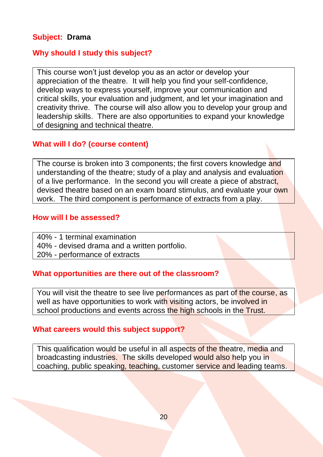# **Subject: Drama**

# **Why should I study this subject?**

This course won't just develop you as an actor or develop your appreciation of the theatre. It will help you find your self-confidence, develop ways to express yourself, improve your communication and critical skills, your evaluation and judgment, and let your imagination and creativity thrive. The course will also allow you to develop your group and leadership skills. There are also opportunities to expand your knowledge of designing and technical theatre.

#### **What will I do? (course content)**

The course is broken into 3 components; the first covers knowledge and understanding of the theatre; study of a play and analysis and evaluation of a live performance. In the second you will create a piece of abstract, devised theatre based on an exam board stimulus, and evaluate your own work. The third component is performance of extracts from a play.

#### **How will I be assessed?**

40% - 1 terminal examination

40% - devised drama and a written portfolio.

20% - performance of extracts

#### **What opportunities are there out of the classroom?**

You will visit the theatre to see live performances as part of the course, as well as have opportunities to work with visiting actors, be involved in school productions and events across the high schools in the Trust.

# **What careers would this subject support?**

This qualification would be useful in all aspects of the theatre, media and broadcasting industries. The skills developed would also help you in coaching, public speaking, teaching, customer service and leading teams.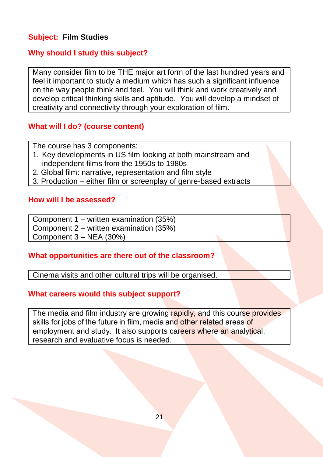# **Subject: Film Studies**

# **Why should I study this subject?**

Many consider film to be THE major art form of the last hundred years and feel it important to study a medium which has such a significant influence on the way people think and feel. You will think and work creatively and develop critical thinking skills and aptitude. You will develop a mindset of creativity and connectivity through your exploration of film.

#### **What will I do? (course content)**

The course has 3 components:

- 1. Key developments in US film looking at both mainstream and independent films from the 1950s to 1980s
- 2. Global film: narrative, representation and film style
- 3. Production either film or screenplay of genre-based extracts

#### **How will I be assessed?**

Component 1 – written examination (35%) Component 2 – written examination (35%) Component 3 – NEA (30%)

#### **What opportunities are there out of the classroom?**

Cinema visits and other cultural trips will be organised.

#### **What careers would this subject support?**

The media and film industry are growing rapidly, and this course provides skills for jobs of the future in film, media and other related areas of employment and study. It also supports careers where an analytical, research and evaluative focus is needed.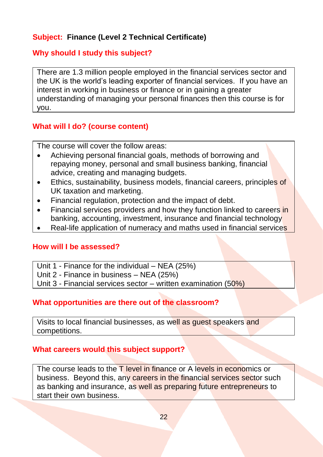# **Subject: Finance (Level 2 Technical Certificate)**

# **Why should I study this subject?**

There are 1.3 million people employed in the financial services sector and the UK is the world's leading exporter of financial services. If you have an interest in working in business or finance or in gaining a greater understanding of managing your personal finances then this course is for you.

# **What will I do? (course content)**

The course will cover the follow areas:

- Achieving personal financial goals, methods of borrowing and repaying money, personal and small business banking, financial advice, creating and managing budgets.
- Ethics, sustainability, business models, financial careers, principles of UK taxation and marketing.
- Financial regulation, protection and the impact of debt.
- Financial services providers and how they function linked to careers in banking, accounting, investment, insurance and financial technology
- Real-life application of numeracy and maths used in financial services

#### **How will I be assessed?**

Unit 1 - Finance for the individual – NEA (25%)

Unit 2 - Finance in business – NEA (25%)

Unit 3 - Financial services sector – written examination (50%)

# **What opportunities are there out of the classroom?**

Visits to local financial businesses, as well as guest speakers and competitions.

# **What careers would this subject support?**

The course leads to the T level in finance or A levels in economics or business. Beyond this, any careers in the financial services sector such as banking and insurance, as well as preparing future entrepreneurs to start their own business.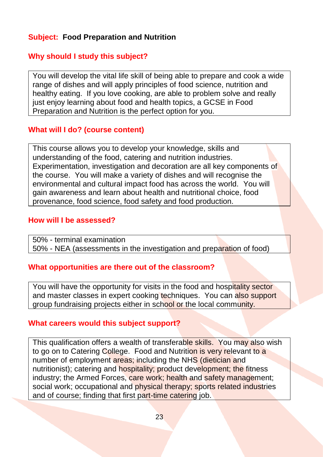# **Subject: Food Preparation and Nutrition**

# **Why should I study this subject?**

You will develop the vital life skill of being able to prepare and cook a wide range of dishes and will apply principles of food science, nutrition and healthy eating. If you love cooking, are able to problem solve and really just enjoy learning about food and health topics, a GCSE in Food Preparation and Nutrition is the perfect option for you.

#### **What will I do? (course content)**

This course allows you to develop your knowledge, skills and understanding of the food, catering and nutrition industries. Experimentation, investigation and decoration are all key components of the course. You will make a variety of dishes and will recognise the environmental and cultural impact food has across the world. You will gain awareness and learn about health and nutritional choice, food provenance, food science, food safety and food production.

#### **How will I be assessed?**

50% - terminal examination 50% - NEA (assessments in the investigation and preparation of food)

# **What opportunities are there out of the classroom?**

You will have the opportunity for visits in the food and hospitality sector and master classes in expert cooking techniques. You can also support group fundraising projects either in school or the local community.

#### **What careers would this subject support?**

This qualification offers a wealth of transferable skills. You may also wish to go on to Catering College. Food and Nutrition is very relevant to a number of employment areas; including the NHS (dietician and nutritionist); catering and hospitality; product development; the fitness industry; the Armed Forces, care work; health and safety management; social work; occupational and physical therapy; sports related industries and of course; finding that first part-time catering job.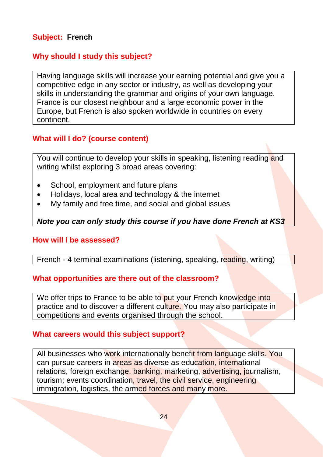# **Subject: French**

# **Why should I study this subject?**

Having language skills will increase your earning potential and give you a competitive edge in any sector or industry, as well as developing your skills in understanding the grammar and origins of your own language. France is our closest neighbour and a large economic power in the Europe, but French is also spoken worldwide in countries on every continent.

# **What will I do? (course content)**

You will continue to develop your skills in speaking, listening reading and writing whilst exploring 3 broad areas covering:

- School, employment and future plans
- Holidays, local area and technology & the internet
- My family and free time, and social and global issues

# *Note you can only study this course if you have done French at KS3*

#### **How will I be assessed?**

#### French - 4 terminal examinations (listening, speaking, reading, writing)

#### **What opportunities are there out of the classroom?**

We offer trips to France to be able to put your French knowledge into practice and to discover a different culture. You may also participate in competitions and events organised through the school.

#### **What careers would this subject support?**

All businesses who work internationally benefit from language skills. You can pursue careers in areas as diverse as education, international relations, foreign exchange, banking, marketing, advertising, journalism, tourism; events coordination, travel, the civil service, engineering immigration, logistics, the armed forces and many more.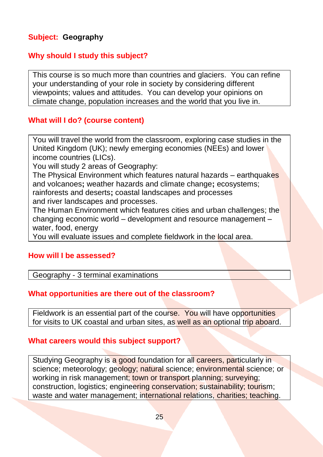# **Subject: Geography**

#### **Why should I study this subject?**

This course is so much more than countries and glaciers. You can refine your understanding of your role in society by considering different viewpoints; values and attitudes. You can develop your opinions on climate change, population increases and the world that you live in.

#### **What will I do? (course content)**

You will travel the world from the classroom, exploring case studies in the United Kingdom (UK); newly emerging economies (NEEs) and lower income countries (LICs).

You will study 2 areas of Geography:

The Physical Environment which features natural hazards - earthquakes and volcanoes**;** weather hazards and climate change**;** ecosystems; rainforests and deserts**;** coastal landscapes and processes

and river landscapes and processes.

The Human Environment which features cities and urban challenges; the changing economic world – development and resource management – water, food, energy

You will evaluate issues and complete fieldwork in the local area.

#### **How will I be assessed?**

Geography - 3 terminal examinations

#### **What opportunities are there out of the classroom?**

Fieldwork is an essential part of the course. You will have opportunities for visits to UK coastal and urban sites, as well as an optional trip aboard.

#### **What careers would this subject support?**

Studying Geography is a good foundation for all careers, particularly in science; meteorology; geology; natural science; environmental science; or working in risk management; town or transport planning; surveying; construction, logistics; engineering conservation; sustainability; tourism; waste and water management; international relations, charities; teaching.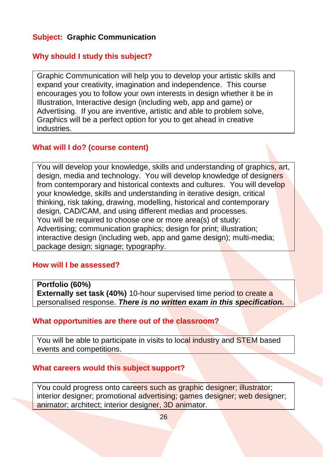# **Subject: Graphic Communication**

# **Why should I study this subject?**

Graphic Communication will help you to develop your artistic skills and expand your creativity, imagination and independence. This course encourages you to follow your own interests in design whether it be in Illustration, Interactive design (including web, app and game) or Advertising. If you are inventive, artistic and able to problem solve, Graphics will be a perfect option for you to get ahead in creative industries.

#### **What will I do? (course content)**

You will develop your knowledge, skills and understanding of graphics, art, design, media and technology. You will develop knowledge of designers from contemporary and historical contexts and cultures. You will develop your knowledge, skills and understanding in iterative design, critical thinking, risk taking, drawing, modelling, historical and contemporary design, CAD/CAM, and using different medias and processes. You will be required to choose one or more area(s) of study: Advertising; communication graphics; design for print; illustration; interactive design (including web, app and game design); multi-media; package design; signage; typography.

#### **How will I be assessed?**

**Portfolio (60%) Externally set task (40%)** 10-hour supervised time period to create a personalised response. *There is no written exam in this specification.*

#### **What opportunities are there out of the classroom?**

You will be able to participate in visits to local industry and STEM based events and competitions.

#### **What careers would this subject support?**

You could progress onto careers such as graphic designer; illustrator; interior designer; promotional advertising; games designer; web designer; animator; architect; interior designer, 3D animator.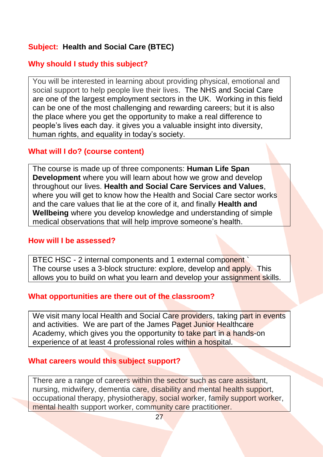# **Subject: Health and Social Care (BTEC)**

## **Why should I study this subject?**

You will be interested in learning about providing physical, emotional and social support to help people live their lives. The NHS and Social Care are one of the largest employment sectors in the UK. Working in this field can be one of the most challenging and rewarding careers; but it is also the place where you get the opportunity to make a real difference to people's lives each day. it gives you a valuable insight into diversity, human rights, and equality in today's society.

#### **What will I do? (course content)**

The course is made up of three components: **Human Life Span Development** where you will learn about how we grow and develop throughout our lives. **Health and Social Care Services and Values**, where you will get to know how the Health and Social Care sector works and the care values that lie at the core of it, and finally **Health and Wellbeing** where you develop knowledge and understanding of simple medical observations that will help improve someone's health.

#### **How will I be assessed?**

BTEC HSC - 2 internal components and 1 external component The course uses a 3-block structure: explore, develop and apply. This allows you to build on what you learn and develop your assignment skills.

#### **What opportunities are there out of the classroom?**

We visit many local Health and Social Care providers, taking part in events and activities. We are part of the James Paget Junior Healthcare Academy, which gives you the opportunity to take part in a hands-on experience of at least 4 professional roles within a hospital.

#### **What careers would this subject support?**

There are a range of careers within the sector such as care assistant, nursing, midwifery, dementia care, disability and mental health support, occupational therapy, physiotherapy, social worker, family support worker, mental health support worker, community care practitioner.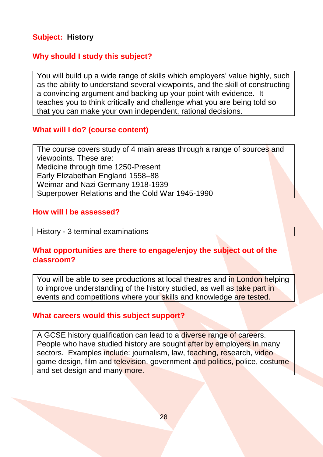# **Subject: History**

## **Why should I study this subject?**

You will build up a wide range of skills which employers' value highly, such as the ability to understand several viewpoints, and the skill of constructing a convincing argument and backing up your point with evidence. It teaches you to think critically and challenge what you are being told so that you can make your own independent, rational decisions.

#### **What will I do? (course content)**

The course covers study of 4 main areas through a range of sources and viewpoints. These are: Medicine through time 1250-Present Early Elizabethan England 1558–88 Weimar and Nazi Germany 1918-1939 Superpower Relations and the Cold War 1945-1990

#### **How will I be assessed?**

#### History - 3 terminal examinations

# **What opportunities are there to engage/enjoy the subject out of the classroom?**

You will be able to see productions at local theatres and in London helping to improve understanding of the history studied, as well as take part in events and competitions where your skills and knowledge are tested.

# **What careers would this subject support?**

A GCSE history qualification can lead to a diverse range of careers. People who have studied history are sought after by employers in many sectors. Examples include: journalism, law, teaching, research, video game design, film and television, government and politics, police, costume and set design and many more.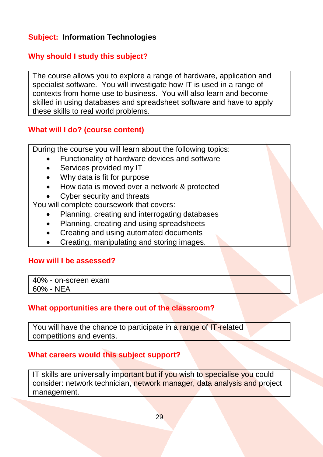# **Subject: Information Technologies**

# **Why should I study this subject?**

The course allows you to explore a range of hardware, application and specialist software. You will investigate how IT is used in a range of contexts from home use to business. You will also learn and become skilled in using databases and spreadsheet software and have to apply these skills to real world problems.

#### **What will I do? (course content)**

During the course you will learn about the following topics:

- Functionality of hardware devices and software
- Services provided my IT
- Why data is fit for purpose
- How data is moved over a network & protected
- Cyber security and threats

You will complete coursework that covers:

- Planning, creating and interrogating databases
- Planning, creating and using spreadsheets
- Creating and using automated documents
- Creating, manipulating and storing images.

#### **How will I be assessed?**

40% - on-screen exam 60% - NEA

#### **What opportunities are there out of the classroom?**

You will have the chance to participate in a range of IT-related competitions and events.

#### **What careers would this subject support?**

IT skills are universally important but if you wish to specialise you could consider: network technician, network manager, data analysis and project management.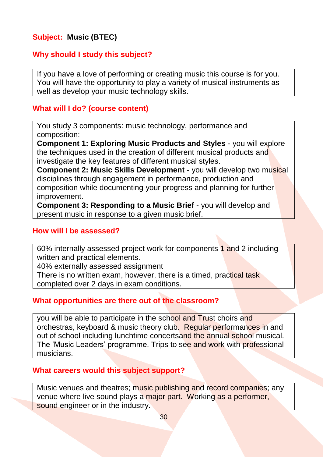# **Subject: Music (BTEC)**

## **Why should I study this subject?**

If you have a love of performing or creating music this course is for you. You will have the opportunity to play a variety of musical instruments as well as develop your music technology skills.

#### **What will I do? (course content)**

You study 3 components: music technology, performance and composition:

**Component 1: Exploring Music Products and Styles** - you will explore the techniques used in the creation of different musical products and investigate the key features of different musical styles.

**Component 2: Music Skills Development** - you will develop two musical disciplines through engagement in performance, production and composition while documenting your progress and planning for further improvement.

**Component 3: Responding to a Music Brief** - you will develop and present music in response to a given music brief.

#### **How will I be assessed?**

60% internally assessed project work for components 1 and 2 including written and practical elements.

40% externally assessed assignment

There is no written exam, however, there is a timed, practical task completed over 2 days in exam conditions.

#### **What opportunities are there out of the classroom?**

you will be able to participate in the school and Trust choirs and orchestras, keyboard & music theory club. Regular performances in and out of school including lunchtime concertsand the annual school musical. The 'Music Leaders' programme. Trips to see and work with professional musicians.

#### **What careers would this subject support?**

Music venues and theatres; music publishing and record companies; any venue where live sound plays a major part. Working as a performer, sound engineer or in the industry.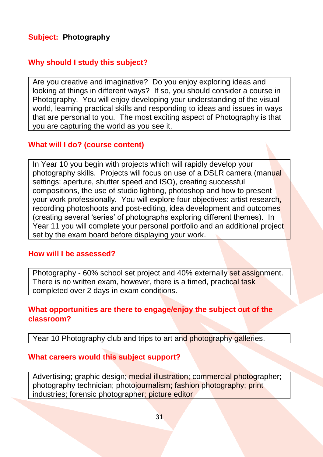# **Subject: Photography**

# **Why should I study this subject?**

Are you creative and imaginative? Do you enjoy exploring ideas and looking at things in different ways? If so, you should consider a course in Photography. You will enjoy developing your understanding of the visual world, learning practical skills and responding to ideas and issues in ways that are personal to you. The most exciting aspect of Photography is that you are capturing the world as you see it.

#### **What will I do? (course content)**

In Year 10 you begin with projects which will rapidly develop your photography skills. Projects will focus on use of a DSLR camera (manual settings: aperture, shutter speed and ISO), creating successful compositions, the use of studio lighting, photoshop and how to present your work professionally. You will explore four objectives: artist research, recording photoshoots and post-editing, idea development and outcomes (creating several 'series' of photographs exploring different themes). In Year 11 you will complete your personal portfolio and an additional project set by the exam board before displaying your work.

#### **How will I be assessed?**

Photography - 60% school set project and 40% externally set assignment. There is no written exam, however, there is a timed, practical task completed over 2 days in exam conditions.

#### **What opportunities are there to engage/enjoy the subject out of the classroom?**

Year 10 Photography club and trips to art and photography galleries.

#### **What careers would this subject support?**

Advertising; graphic design; medial illustration; commercial photographer; photography technician; photojournalism; fashion photography; print industries; forensic photographer; picture editor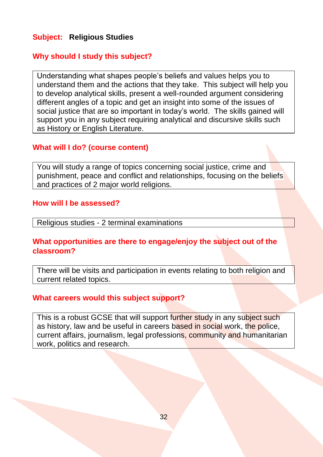# **Subject: Religious Studies**

#### **Why should I study this subject?**

Understanding what shapes people's beliefs and values helps you to understand them and the actions that they take. This subject will help you to develop analytical skills, present a well-rounded argument considering different angles of a topic and get an insight into some of the issues of social justice that are so important in today's world. The skills gained will support you in any subject requiring analytical and discursive skills such as History or English Literature.

#### **What will I do? (course content)**

You will study a range of topics concerning social justice, crime and punishment, peace and conflict and relationships, focusing on the beliefs and practices of 2 major world religions.

#### **How will I be assessed?**

Religious studies - 2 terminal examinations

#### **What opportunities are there to engage/enjoy the subject out of the classroom?**

There will be visits and participation in events relating to both religion and current related topics.

#### **What careers would this subject support?**

This is a robust GCSE that will support further study in any subject such as history, law and be useful in careers based in social work, the police, current affairs, journalism, legal professions, community and humanitarian work, politics and research.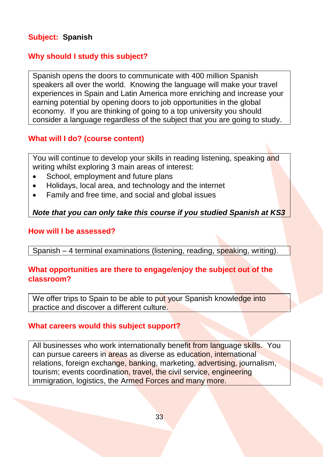# **Subject: Spanish**

# **Why should I study this subject?**

Spanish opens the doors to communicate with 400 million Spanish speakers all over the world. Knowing the language will make your travel experiences in Spain and Latin America more enriching and increase your earning potential by opening doors to job opportunities in the global economy. If you are thinking of going to a top university you should consider a language regardless of the subject that you are going to study.

# **What will I do? (course content)**

You will continue to develop your skills in reading listening, speaking and writing whilst exploring 3 main areas of interest:

- School, employment and future plans
- Holidays, local area, and technology and the internet
- Family and free time, and social and global issues

#### *Note that you can only take this course if you studied Spanish at KS3*

#### **How will I be assessed?**

Spanish – 4 terminal examinations (listening, reading, speaking, writing).

#### **What opportunities are there to engage/enjoy the subject out of the classroom?**

We offer trips to Spain to be able to put your Spanish knowledge into practice and discover a different culture.

#### **What careers would this subject support?**

All businesses who work internationally benefit from language skills. You can pursue careers in areas as diverse as education, international relations, foreign exchange, banking, marketing, advertising, journalism, tourism; events coordination, travel, the civil service, engineering immigration, logistics, the Armed Forces and many more.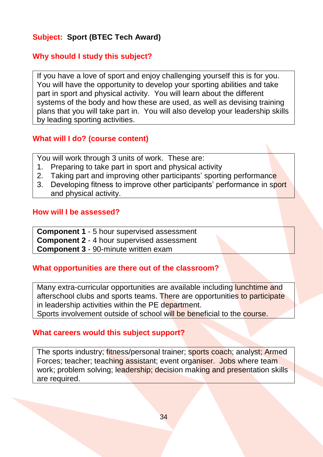# **Subject: Sport (BTEC Tech Award)**

# **Why should I study this subject?**

If you have a love of sport and enjoy challenging yourself this is for you. You will have the opportunity to develop your sporting abilities and take part in sport and physical activity. You will learn about the different systems of the body and how these are used, as well as devising training plans that you will take part in. You will also develop your leadership skills by leading sporting activities.

#### **What will I do? (course content)**

You will work through 3 units of work. These are:

- 1. Preparing to take part in sport and physical activity
- 2. Taking part and improving other participants' sporting performance
- 3. Developing fitness to improve other participants' performance in sport and physical activity.

#### **How will I be assessed?**

**Component 1** - 5 hour supervised assessment **Component 2** - 4 hour supervised assessment **Component 3** - 90-minute written exam

#### **What opportunities are there out of the classroom?**

Many extra-curricular opportunities are available including lunchtime and afterschool clubs and sports teams. There are opportunities to participate in leadership activities within the PE department.

Sports involvement outside of school will be beneficial to the course.

#### **What careers would this subject support?**

The sports industry; fitness/personal trainer; sports coach; analyst; Armed Forces; teacher; teaching assistant; event organiser. Jobs where team work; problem solving; leadership; decision making and presentation skills are required.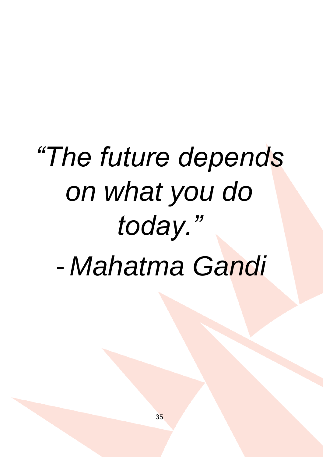# *"The future depends on what you do today."* - *Mahatma Gandi*